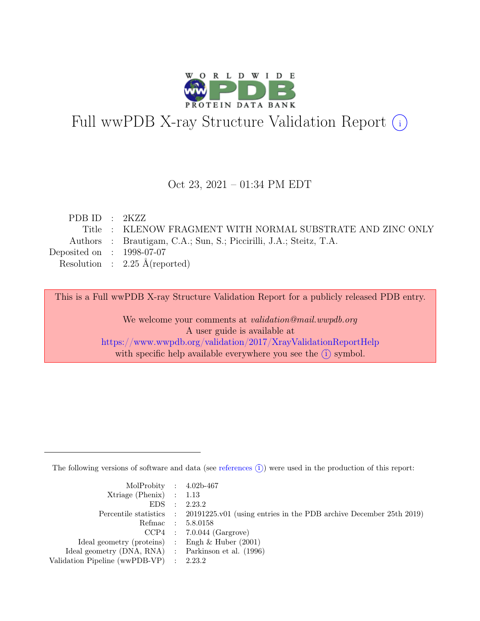

# Full wwPDB X-ray Structure Validation Report  $(i)$

#### Oct 23, 2021 – 01:34 PM EDT

| PDB ID : $2KZZ$                                                    |
|--------------------------------------------------------------------|
| Title : KLENOW FRAGMENT WITH NORMAL SUBSTRATE AND ZINC ONLY        |
| Authors : Brautigam, C.A.; Sun, S.; Piccirilli, J.A.; Steitz, T.A. |
| Deposited on : $1998-07-07$                                        |
| Resolution : $2.25 \text{ Å}$ (reported)                           |
|                                                                    |

This is a Full wwPDB X-ray Structure Validation Report for a publicly released PDB entry.

We welcome your comments at validation@mail.wwpdb.org A user guide is available at <https://www.wwpdb.org/validation/2017/XrayValidationReportHelp> with specific help available everywhere you see the  $(i)$  symbol.

The following versions of software and data (see [references](https://www.wwpdb.org/validation/2017/XrayValidationReportHelp#references)  $(i)$ ) were used in the production of this report:

| MolProbity : $4.02b-467$                            |                                                                                            |
|-----------------------------------------------------|--------------------------------------------------------------------------------------------|
| $Xtriangle (Phenix)$ : 1.13                         |                                                                                            |
|                                                     | EDS : 2.23.2                                                                               |
|                                                     | Percentile statistics : 20191225.v01 (using entries in the PDB archive December 25th 2019) |
|                                                     | Refmac : 5.8.0158                                                                          |
|                                                     | $CCP4$ : 7.0.044 (Gargrove)                                                                |
| Ideal geometry (proteins) : Engh $\&$ Huber (2001)  |                                                                                            |
| Ideal geometry (DNA, RNA) : Parkinson et al. (1996) |                                                                                            |
| Validation Pipeline (wwPDB-VP) : 2.23.2             |                                                                                            |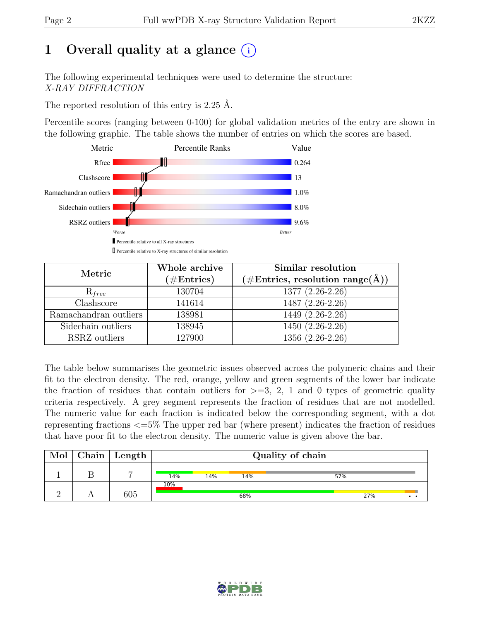# 1 Overall quality at a glance  $(i)$

The following experimental techniques were used to determine the structure: X-RAY DIFFRACTION

The reported resolution of this entry is 2.25 Å.

Percentile scores (ranging between 0-100) for global validation metrics of the entry are shown in the following graphic. The table shows the number of entries on which the scores are based.



| Metric                | Whole archive<br>$(\#Entries)$ | Similar resolution<br>$(\# \text{Entries}, \text{ resolution } \text{range}(\AA))$ |
|-----------------------|--------------------------------|------------------------------------------------------------------------------------|
| $R_{free}$            | 130704                         | 1377 (2.26-2.26)                                                                   |
| Clashscore            | 141614                         | 1487 (2.26-2.26)                                                                   |
| Ramachandran outliers | 138981                         | $1449(2.26-2.26)$                                                                  |
| Sidechain outliers    | 138945                         | 1450 (2.26-2.26)                                                                   |
| RSRZ outliers         | 127900                         | $1356(2.26-2.26)$                                                                  |

The table below summarises the geometric issues observed across the polymeric chains and their fit to the electron density. The red, orange, yellow and green segments of the lower bar indicate the fraction of residues that contain outliers for  $\geq$ =3, 2, 1 and 0 types of geometric quality criteria respectively. A grey segment represents the fraction of residues that are not modelled. The numeric value for each fraction is indicated below the corresponding segment, with a dot representing fractions <=5% The upper red bar (where present) indicates the fraction of residues that have poor fit to the electron density. The numeric value is given above the bar.

| Mol | Chain | $^{\shortmid}$ Length $_{\shortmid}$ |     | Quality of chain |     |     |  |  |  |
|-----|-------|--------------------------------------|-----|------------------|-----|-----|--|--|--|
|     |       | $\overline{ }$                       | 14% | 14%              | 14% | 57% |  |  |  |
|     |       | 605                                  | 10% |                  | 68% | 27% |  |  |  |

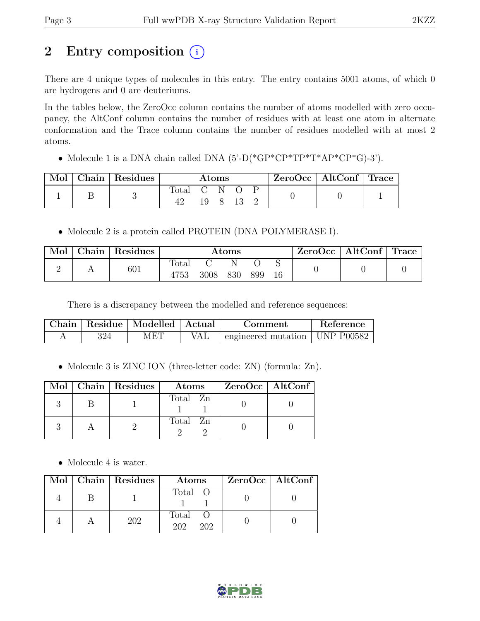# 2 Entry composition  $(i)$

There are 4 unique types of molecules in this entry. The entry contains 5001 atoms, of which 0 are hydrogens and 0 are deuteriums.

In the tables below, the ZeroOcc column contains the number of atoms modelled with zero occupancy, the AltConf column contains the number of residues with at least one atom in alternate conformation and the Trace column contains the number of residues modelled with at most 2 atoms.

• Molecule 1 is a DNA chain called DNA  $(5)-D(*GP*CP*TP*T*AP*CP*G)-3'$ .

|  | $\alpha$ Chain   Residues $\beta$ | Atoms          |     |  | $ZeroOcc \mid AltConf \mid Trace \mid$ |  |  |  |
|--|-----------------------------------|----------------|-----|--|----------------------------------------|--|--|--|
|  |                                   | $_{\rm Total}$ | 19. |  |                                        |  |  |  |

• Molecule 2 is a protein called PROTEIN (DNA POLYMERASE I).

| Mol | Chain Residues |                        |      | Atoms |     | $\mathsf{ZeroOcc} \mid \mathsf{AltConf} \mid \mathsf{Trace}$ |  |
|-----|----------------|------------------------|------|-------|-----|--------------------------------------------------------------|--|
| ∸   | 601            | $_{\rm Total}$<br>4753 | 3008 | 830   | 899 |                                                              |  |

There is a discrepancy between the modelled and reference sequences:

| ${\rm Chain}$ | Residue   Modelled   Actual | Comment                                   | Reference |
|---------------|-----------------------------|-------------------------------------------|-----------|
|               | MET                         | $\alpha$ engineered mutation   UNP P00582 |           |

• Molecule 3 is ZINC ION (three-letter code: ZN) (formula: Zn).

|  | Mol   Chain   Residues | Atoms    | $ZeroOcc \mid AltConf \mid$ |
|--|------------------------|----------|-----------------------------|
|  |                        | Total Zn |                             |
|  |                        | Total Zn |                             |

• Molecule 4 is water.

|  | Mol   Chain   Residues | Atoms               | $ZeroOcc \mid AltConf \mid$ |
|--|------------------------|---------------------|-----------------------------|
|  |                        | Total O             |                             |
|  | 202                    | Total<br>202<br>202 |                             |

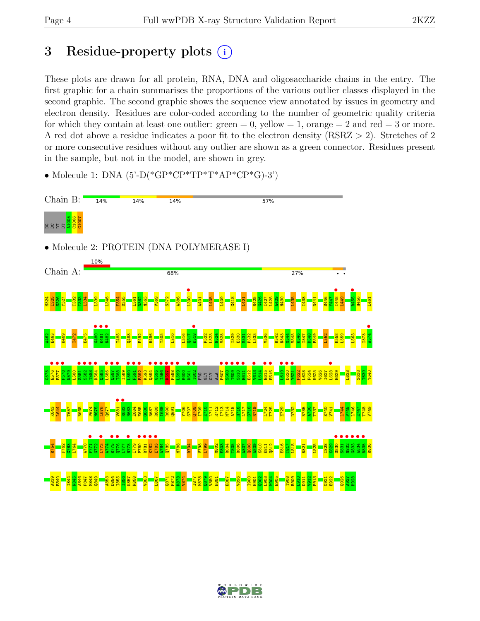## 3 Residue-property plots  $(i)$

These plots are drawn for all protein, RNA, DNA and oligosaccharide chains in the entry. The first graphic for a chain summarises the proportions of the various outlier classes displayed in the second graphic. The second graphic shows the sequence view annotated by issues in geometry and electron density. Residues are color-coded according to the number of geometric quality criteria for which they contain at least one outlier:  $green = 0$ , yellow  $= 1$ , orange  $= 2$  and red  $= 3$  or more. A red dot above a residue indicates a poor fit to the electron density (RSRZ > 2). Stretches of 2 or more consecutive residues without any outlier are shown as a green connector. Residues present in the sample, but not in the model, are shown in grey.

 $\bullet$  Molecule 1: DNA (5'-D(\*GP\*CP\*TP\*T\*AP\*CP\*G)-3')



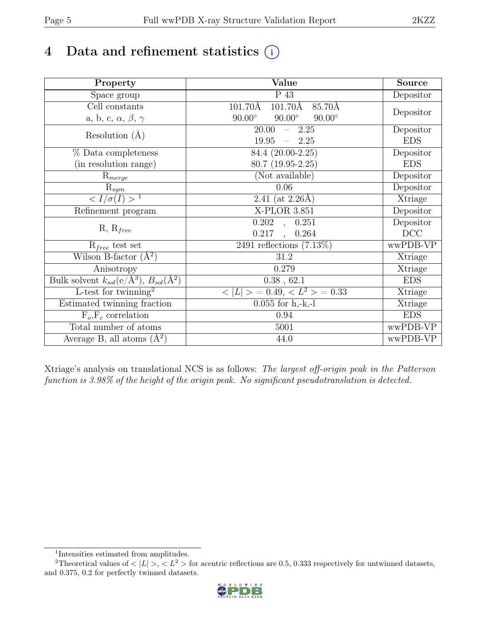## 4 Data and refinement statistics  $(i)$

| Property                                                             | Value                                                    | <b>Source</b> |
|----------------------------------------------------------------------|----------------------------------------------------------|---------------|
| Space group                                                          | $\overline{P}$ 43                                        | Depositor     |
| Cell constants                                                       | 101.70Å<br>$101.70\text{\AA}$<br>85.70Å                  |               |
| a, b, c, $\alpha$ , $\beta$ , $\gamma$                               | $90.00^\circ$<br>$90.00^\circ$<br>$90.00^\circ$          | Depositor     |
| Resolution $(A)$                                                     | 20.00<br>$-2.25$                                         | Depositor     |
|                                                                      | 19.95<br>$-2.25$                                         | <b>EDS</b>    |
| % Data completeness                                                  | 84.4 (20.00-2.25)                                        | Depositor     |
| (in resolution range)                                                | $80.7(19.95-2.25)$                                       | <b>EDS</b>    |
| $R_{merge}$                                                          | (Not available)                                          | Depositor     |
| $\mathrm{R}_{sym}$                                                   | 0.06                                                     | Depositor     |
| $\langle I/\sigma(I) \rangle$ <sup>1</sup>                           | $\overline{2.41}$ (at 2.26Å)                             | Xtriage       |
| Refinement program                                                   | $X-PLOR$ 3.851                                           | Depositor     |
| $R, R_{free}$                                                        | $\overline{0.202}$ ,<br>0.251                            | Depositor     |
|                                                                      | 0.217<br>0.264<br>$\ddot{\phantom{a}}$                   | DCC           |
| $R_{free}$ test set                                                  | 2491 reflections $(7.13\%)$                              | wwPDB-VP      |
| Wilson B-factor $(A^2)$                                              | 31.2                                                     | Xtriage       |
| Anisotropy                                                           | 0.279                                                    | Xtriage       |
| Bulk solvent $k_{sol}(e/\mathring{A}^3)$ , $B_{sol}(\mathring{A}^2)$ | $0.38$ , 62.1                                            | <b>EDS</b>    |
| L-test for twinning <sup>2</sup>                                     | $\langle  L  \rangle = 0.49, \langle L^2 \rangle = 0.33$ | Xtriage       |
| Estimated twinning fraction                                          | $0.055$ for h,-k,-l                                      | Xtriage       |
| $F_o, F_c$ correlation                                               | 0.94                                                     | <b>EDS</b>    |
| Total number of atoms                                                | 5001                                                     | wwPDB-VP      |
| Average B, all atoms $(A^2)$                                         | 44.0                                                     | wwPDB-VP      |

Xtriage's analysis on translational NCS is as follows: The largest off-origin peak in the Patterson function is 3.98% of the height of the origin peak. No significant pseudotranslation is detected.

<sup>&</sup>lt;sup>2</sup>Theoretical values of  $\langle |L| \rangle$ ,  $\langle L^2 \rangle$  for acentric reflections are 0.5, 0.333 respectively for untwinned datasets, and 0.375, 0.2 for perfectly twinned datasets.



<span id="page-4-1"></span><span id="page-4-0"></span><sup>1</sup> Intensities estimated from amplitudes.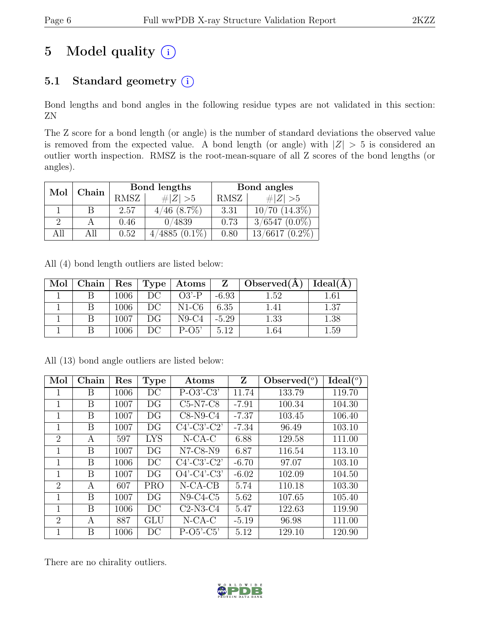# 5 Model quality  $(i)$

## 5.1 Standard geometry (i)

Bond lengths and bond angles in the following residue types are not validated in this section: ZN

The Z score for a bond length (or angle) is the number of standard deviations the observed value is removed from the expected value. A bond length (or angle) with  $|Z| > 5$  is considered an outlier worth inspection. RMSZ is the root-mean-square of all Z scores of the bond lengths (or angles).

| Mol           | Chain |      | Bond lengths     | Bond angles |                    |  |
|---------------|-------|------|------------------|-------------|--------------------|--|
|               |       | RMSZ | # $ Z  > 5$      | RMSZ        | # $ Z  > 5$        |  |
|               |       | 2.57 | $4/46$ $(8.7\%)$ | 3.31        | $10/70$ $(14.3\%)$ |  |
| $\mathcal{P}$ |       | 0.46 | 0/4839           | 0.73        | $3/6547$ $(0.0\%)$ |  |
| All           | All   | 0.52 | $4/4885(0.1\%)$  | 0.80        | $13/6617(0.2\%)$   |  |

All (4) bond length outliers are listed below:

| Mol | Chain |      |    | Res   Type   Atoms | $Z -$   | $\mathcal{O}$ Observed(A) | Ideal(A) |
|-----|-------|------|----|--------------------|---------|---------------------------|----------|
|     |       | 1006 | DC | $O3'$ -P           | $-6.93$ | 1.52                      | $1.61\,$ |
|     |       | 1006 | DC | $N1-C6$            | 6.35    |                           | 1.37     |
|     |       | 1007 | DG | $N9-C4$            | $-5.29$ | 1.33                      | 1.38     |
|     |       | 1006 | DС | $P-O5'$            | 5.12    | .64                       | $1.59\,$ |

All (13) bond angle outliers are listed below:

| Mol                         | Chain | Res  | <b>Type</b> | Atoms          | Z       | $\text{Observed} (°)$ | Ideal(°) |
|-----------------------------|-------|------|-------------|----------------|---------|-----------------------|----------|
| 1                           | B     | 1006 | DC          | $P-O3'-C3'$    | 11.74   | 133.79                | 119.70   |
| 1                           | B     | 1007 | DG          | $C5-N7-C8$     | $-7.91$ | 100.34                | 104.30   |
| 1                           | B     | 1007 | DG          | $C8-N9-C4$     | $-7.37$ | 103.45                | 106.40   |
| $\mathbf{1}$                | B     | 1007 | DG          | $C4'-C3'-C2'$  | $-7.34$ | 96.49                 | 103.10   |
| $\overline{2}$              | А     | 597  | <b>LYS</b>  | $N$ -CA-C      | 6.88    | 129.58                | 111.00   |
| 1                           | B     | 1007 | DG          | $N7-C8-N9$     | 6.87    | 116.54                | 113.10   |
| 1                           | B     | 1006 | DC          | $C4'-C3'-C2'$  | $-6.70$ | 97.07                 | 103.10   |
| $\mathbf 1$                 | B     | 1007 | DG          | $O4'$ -C4'-C3' | $-6.02$ | 102.09                | 104.50   |
| $\mathcal{D}_{\mathcal{A}}$ | А     | 607  | <b>PRO</b>  | $N$ -CA-CB     | 5.74    | 110.18                | 103.30   |
| 1                           | B     | 1007 | DG          | $N9-C4-C5$     | 5.62    | 107.65                | 105.40   |
| 1                           | B     | 1006 | DC          | $C2-N3-C4$     | 5.47    | 122.63                | 119.90   |
| $\mathcal{D}_{\mathcal{A}}$ | А     | 887  | GLU         | $N$ -CA-C      | $-5.19$ | 96.98                 | 111.00   |
| $\overline{1}$              | B     | 1006 | DC          | $P-O5'-C5'$    | 5.12    | 129.10                | 120.90   |

There are no chirality outliers.

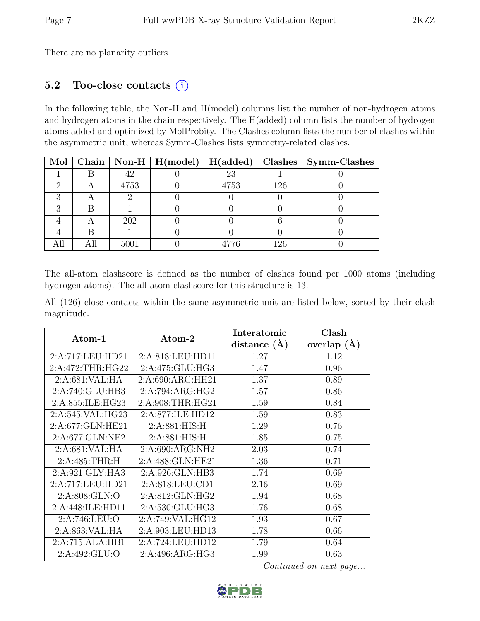There are no planarity outliers.

## 5.2 Too-close contacts (i)

In the following table, the Non-H and H(model) columns list the number of non-hydrogen atoms and hydrogen atoms in the chain respectively. The H(added) column lists the number of hydrogen atoms added and optimized by MolProbity. The Clashes column lists the number of clashes within the asymmetric unit, whereas Symm-Clashes lists symmetry-related clashes.

|  |      |      |     | Mol   Chain   Non-H   H(model)   H(added)   Clashes   Symm-Clashes |
|--|------|------|-----|--------------------------------------------------------------------|
|  | 42   | 23   |     |                                                                    |
|  | 4753 | 4753 | 126 |                                                                    |
|  |      |      |     |                                                                    |
|  |      |      |     |                                                                    |
|  | 202  |      |     |                                                                    |
|  |      |      |     |                                                                    |
|  | 5001 |      | 126 |                                                                    |

The all-atom clashscore is defined as the number of clashes found per 1000 atoms (including hydrogen atoms). The all-atom clashscore for this structure is 13.

All (126) close contacts within the same asymmetric unit are listed below, sorted by their clash magnitude.

| Atom-1           | Atom-2           | Interatomic    | Clash         |
|------------------|------------------|----------------|---------------|
|                  |                  | distance $(A)$ | overlap $(A)$ |
| 2:A:717:LEU:HD21 | 2:A:818:LEU:HD11 | 1.27           | 1.12          |
| 2:A:472:THR:HG22 | 2:A:475:GLU:HG3  | 1.47           | 0.96          |
| 2:A:681:VAL:HA   | 2:A:690:ARG:HH21 | 1.37           | 0.89          |
| 2:A:740:GLU:HB3  | 2:A:794:ARG:HG2  | 1.57           | 0.86          |
| 2:A:855:ILE:HG23 | 2:A:908:THR:HG21 | 1.59           | 0.84          |
| 2:A:545:VAL:HG23 | 2:A:877:ILE:HD12 | 1.59           | 0.83          |
| 2:A:677:GLN:HE21 | 2: A:881: HIS: H | 1.29           | 0.76          |
| 2:A:677:GLN:NE2  | 2:A:881:HIS:H    | 1.85           | 0.75          |
| 2:A:681:VAL:HA   | 2:A:690:ARG:NH2  | 2.03           | 0.74          |
| 2:A:485:THR:H    | 2:A:488:GLN:HE21 | 1.36           | 0.71          |
| 2:A:921:GLY:HA3  | 2:A:926:GLN:HB3  | 1.74           | 0.69          |
| 2:A:717:LEU:HD21 | 2:A:818:LEU:CD1  | 2.16           | 0.69          |
| 2:A:808:GLN:O    | 2:A:812:GLN:HG2  | 1.94           | 0.68          |
| 2:A:448:ILE:HD11 | 2:A:530:GLU:HG3  | 1.76           | 0.68          |
| 2:A:746:LEU:O    | 2:A:749:VAL:HG12 | 1.93           | 0.67          |
| 2:A:863:VAL:HA   | 2:A:903:LEU:HD13 | 1.78           | 0.66          |
| 2:A:715:ALA:HB1  | 2:A:724:LEU:HD12 | 1.79           | 0.64          |
| 2:A:492:GLU:O    | 2:A:496:ARG:HG3  | 1.99           | 0.63          |

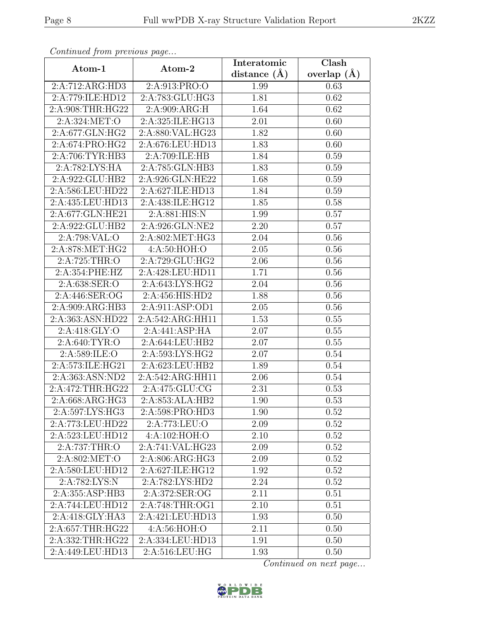| Continuea from previous page |                                                  | Interatomic       | Clash         |
|------------------------------|--------------------------------------------------|-------------------|---------------|
| Atom-1                       | Atom-2                                           | distance $(A)$    | overlap $(A)$ |
| 2:A:712:ARG:HD3              | 2:A:913:PRO:O                                    | 1.99              | 0.63          |
| 2:A:779:ILE:HD12             | 2:A:783:GLU:HG3                                  | 1.81              | 0.62          |
| 2:A:908:THR:HG22             | 2:A:909:ARG:H                                    | 1.64              | 0.62          |
| 2:A:324:MET:O                | 2:A:325:ILE:HG13                                 | 2.01              | 0.60          |
| 2:A:677:GLN:HG2              | 2:A:880:VAL:HG23                                 | 1.82              | 0.60          |
| 2:A:674:PRO:HG2              | 2:A:676:LEU:HD13                                 | 1.83              | 0.60          |
| 2:A:706:TYR:HB3              | 2:A:709:ILE:HB                                   | 1.84              | 0.59          |
| 2:A:782:LYS:HA               | 2:A:785:GLN:HB3                                  | 1.83              | 0.59          |
| 2:A:922:GLU:HB2              | 2:A:926:GLN:HE22                                 | 1.68              | 0.59          |
| 2:A:586:LEU:HD22             | 2:A:627:ILE:HD13                                 | 1.84              | 0.59          |
| 2:A:435:LEU:HD13             | 2:A:438:ILE:HG12                                 | 1.85              | 0.58          |
| 2:A:677:GLN:HE21             | 2:A:881:HIS:N                                    | 1.99              | 0.57          |
| 2:A:922:GLU:HB2              | 2:A:926:GLN:NE2                                  | 2.20              | 0.57          |
| 2:A:798:VAL:O                | 2:A:802:MET:HG3                                  | 2.04              | 0.56          |
| 2:A:878:MET:HG2              | 4: A:50: HOH:O                                   | 2.05              | 0.56          |
| 2:A:725:THR:O                | 2:A:729:GLU:HG2                                  | 2.06              | 0.56          |
| 2:A:354:PHE:HZ               | 2:A:428:LEU:HD11                                 | 1.71              | 0.56          |
| 2:A:638:SER:O                | 2:A:643:LYS:HG2                                  | 2.04              | 0.56          |
| 2:A:446:SER:OG               | 2:A:456:HIS:HD2                                  | 1.88              | 0.56          |
| 2:A:909:ARG:HB3              | 2:A:911:ASP:OD1                                  | 2.05              | 0.56          |
| 2:A:363:ASN:HD22             | 2:A:542:ARG:HH11                                 | 1.53              | 0.55          |
| 2:A:418:GLY:O                | 2:A:441:ASP:HA                                   | 2.07              | 0.55          |
| 2:A:640:TYR:O                | 2:A:644:LEU:HB2                                  | 2.07              | 0.55          |
| 2:A:589:ILE:O                | 2:A:593:LYS:HG2                                  | 2.07              | 0.54          |
| 2:A:573:ILE:HG21             | 2:A:623:LEU:HB2                                  | 1.89              | 0.54          |
| 2:A:363:ASN:ND2              | 2:A:542:ARG:HH11                                 | 2.06              | 0.54          |
| 2:A:472:THR:HG22             | 2:A:475:GLU:CG                                   | 2.31              | 0.53          |
| 2:A:668:ARG:HG3              | $2:A:853:ALA:H\overline{B2}$                     | $\overline{1.90}$ | 0.53          |
| 2:A:597:LYS:HG3              | 2:A:598:PRO:HD3                                  | 1.90              | 0.52          |
| 2:A:773:LEU:HD22             | 2:A:773:LEU:O                                    | 2.09              | 0.52          |
| 2:A:523:LEU:HD12             | 4:A:102:HOH:O                                    | 2.10              | 0.52          |
| 2:A:737:THR:O                | 2:A:741:VAL:HG23                                 | 2.09              | 0.52          |
| 2:A:802:MET:O                | 2:A:806:ARG:HG3                                  | 2.09              | 0.52          |
| 2:A:580:LEU:HD12             | 2:A:627:ILE:HG12                                 | 1.92              | $0.52\,$      |
| 2:A:782:LYS:N                | 2:A:782:LYS:HD2                                  | 2.24              | 0.52          |
| 2:A:355:ASP:HB3              | 2:A:372:SER:OG                                   | 2.11              | 0.51          |
| 2:A:744:LEU:HD12             | 2:A:748:THR:OG1                                  | 2.10              | 0.51          |
| 2:A:418:GLY:HA3              | 2:A:421:LEU:HD13                                 | 1.93              | 0.50          |
| 2:A:657:THR:HG22             | 4:A:56:HOH:O                                     | 2.11              | 0.50          |
| 2:A:332:THR:HG22             | 2:A:334:LEU:HD13                                 | 1.91              | 0.50          |
| 2:A:449:LEU:HD13             | $2: A:516: \overline{\textrm{LEU}: \textrm{HG}}$ | 1.93              | 0.50          |

Continued from previous page.

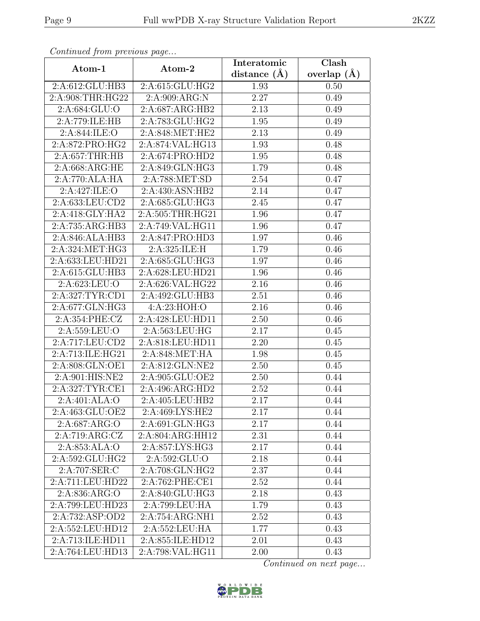| Continuea from previous page |                  | Interatomic       | Clash           |
|------------------------------|------------------|-------------------|-----------------|
| Atom-1                       | Atom-2           | distance $(A)$    | overlap $(\AA)$ |
| 2:A:612:GLU:HB3              | 2:A:615:GLU:HG2  | 1.93              | 0.50            |
| 2:A:908:THR:HG22             | 2:A:909:ARG:N    | $\overline{2.27}$ | 0.49            |
| 2:A:684:GLU:O                | 2:A:687:ARG:HB2  | 2.13              | 0.49            |
| 2:A:779:ILE:HB               | 2:A:783:GLU:HG2  | 1.95              | 0.49            |
| 2:A:844:ILE:O                | 2:A:848:MET:HE2  | 2.13              | 0.49            |
| 2:A:872:PRO:HG2              | 2:A:874:VAL:HG13 | 1.93              | 0.48            |
| 2:A:657:THR:HB               | 2:A:674:PRO:HD2  | 1.95              | 0.48            |
| 2:A:668:ARG:HE               | 2:A:849:GLN:HG3  | 1.79              | 0.48            |
| 2:A:770:ALA:HA               | 2:A:788:MET:SD   | 2.54              | 0.47            |
| 2:A:427:ILE:O                | 2:A:430:ASN:HB2  | 2.14              | 0.47            |
| 2:A:633:LEU:CD2              | 2:A:685:GLU:HG3  | 2.45              | 0.47            |
| 2:A:418:GLY:HA2              | 2:A:505:THR:HG21 | 1.96              | 0.47            |
| 2:A:735:ARG:HB3              | 2:A:749:VAL:HG11 | 1.96              | 0.47            |
| 2:A:846:ALA:HB3              | 2:A:847:PRO:HD3  | 1.97              | 0.46            |
| 2:A:324:MET:HG3              | 2:A:325:ILE:H    | 1.79              | 0.46            |
| 2:A:633:LEU:HD21             | 2:A:685:GLU:HG3  | 1.97              | 0.46            |
| 2:A:615:GLU:HB3              | 2:A:628:LEU:HD21 | 1.96              | 0.46            |
| 2:A:623:LEU:O                | 2:A:626:VAL:HG22 | 2.16              | 0.46            |
| 2:A:327:TYR:CD1              | 2:A:492:GLU:HB3  | 2.51              | 0.46            |
| 2:A:677:GLN:HG3              | 4: A:23: HOH:O   | 2.16              | 0.46            |
| 2:A:354:PHE:CZ               | 2:A:428:LEU:HD11 | 2.50              | 0.46            |
| 2:A:559:LEU:O                | 2:A:563:LEU:HG   | 2.17              | 0.45            |
|                              | 2:A:818:LEU:HD11 | 2.20              | 0.45            |
| 2:A:713:ILE:HG21             | 2:A:848:MET:HA   | 1.98              | 0.45            |
| 2:A:808:GLN:OE1              | 2:A:812:GLN:NE2  | 2.50              | 0.45            |
| 2:A:901:HIS:NE2              | 2:A:905:GLU:OE2  | 2.50              | 0.44            |
| 2:A:327:TYR:CE1              | 2:A:496:ARG:HD2  | 2.52              | 0.44            |
| 2:A:401:ALA:O                | 2:A:405:LEU:HB2  | 2.17              | 0.44            |
| 2:A:463:GLU:OE2              | 2:A:469:LYS:HE2  | 2.17              | 0.44            |
| 2:A:687:ARG:O                | 2:A:691:GLN:HG3  | 2.17              | 0.44            |
| 2:A:719:ARG:CZ               | 2:A:804:ARG:HH12 | 2.31              | 0.44            |
| 2:A:853:ALA:O                | 2:A:857:LYS:HG3  | 2.17              | 0.44            |
| 2:A:592:GLU:HG2              | 2:A:592:GLU:O    | 2.18              | 0.44            |
| 2:A:707:SER:C                | 2:A:708:GLN:HG2  | 2.37              | 0.44            |
| 2:A:711:LEU:HD22             | 2:A:762:PHE:CE1  | 2.52              | 0.44            |
| 2: A:836: ARG:O              | 2:A:840:GLU:HG3  | 2.18              | 0.43            |
| 2:A:799:LEU:HD23             | 2:A:799:LEU:HA   | 1.79              | 0.43            |
| 2:A:732:ASP:OD2              | 2:A:754:ARG:NH1  | 2.52              | 0.43            |
| 2:A:552:LEU:HD12             | 2:A:552:LEU:HA   | 1.77              | 0.43            |
| 2:A:713:ILE:HD11             | 2:A:855:ILE:HD12 | 2.01              | 0.43            |
| 2:A:764:LEU:HD13             | 2:A:798:VAL:HG11 | 2.00              | 0.43            |

Continued from previous page.

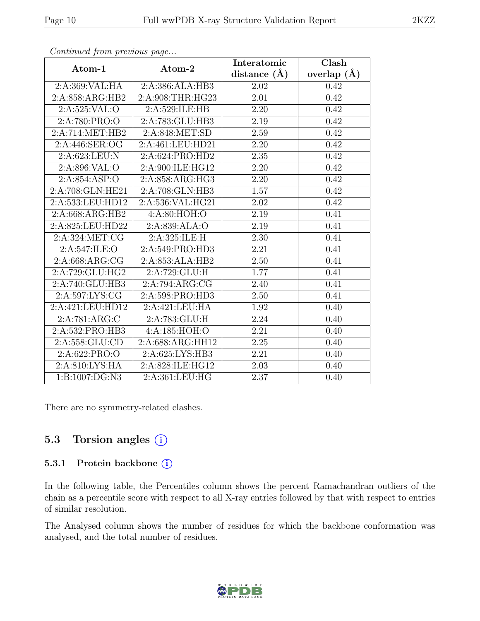| $\cdots$ $J$                | $\mathbf{r} \sim$           | Interatomic       | Clash           |
|-----------------------------|-----------------------------|-------------------|-----------------|
| Atom-1                      | Atom-2                      | distance $(\AA)$  | overlap $(\AA)$ |
| 2:A:369:VAL:HA              | 2:A:386:ALA:HB3             | 2.02              | 0.42            |
| 2:A:858:ARG:HB2             | 2:A:908:THR:HG23            | 2.01              | 0.42            |
| 2:A:525:VAL:O               | 2:A:529:ILE:HB              | 2.20              | 0.42            |
| 2:A:780:PRO:O               | 2:A:783:GLU:HB3             | 2.19              | 0.42            |
| 2:A:714:MET:HB2             | 2:A:848:MET:SD              | 2.59              | 0.42            |
| 2:A:446:SER:OG              | 2:A:461:LEU:HD21            | 2.20              | 0.42            |
| 2:A:623:LEU:N               | 2:A:624:PRO:HD2             | 2.35              | 0.42            |
| 2:A:896:VAL:O               | 2:A:900:ILE:HG12            | 2.20              | 0.42            |
| 2:A:854:ASP:O               | 2:A:858:ARG:HG3             | $\overline{2.20}$ | 0.42            |
| 2:A:708:GLN:HE21            | 2:A:708:GLN:HB3             | 1.57              | 0.42            |
| 2:A:533:LEU:HD12            | 2:A:536:VAL:HG21            | 2.02              | 0.42            |
| 2:A:668:ARG:HB2             | 4: A:80: HOH:O              | 2.19              | 0.41            |
| 2:A:825:LEU:HD22            | 2:A:839:ALA:O               | 2.19              | 0.41            |
| 2:A:324:MET:CG              | 2:A:325:ILE:H               | 2.30              | 0.41            |
| 2:A:547:ILE:O               | 2:A:549:PRO:HD3             | 2.21              | 0.41            |
| 2:A:668:ARG:CG              | 2:A:853:ALA:HB2             | 2.50              | 0.41            |
| 2:A:729:GLU:HG2             | 2:A:729:GLU:H               | 1.77              | 0.41            |
| 2:A:740:GLU:HB3             | 2:A:794:ARG:CG              | 2.40              | 0.41            |
| 2:A:597:LYS:CG              | 2:A:598:PRO:H <sub>D3</sub> | 2.50              | 0.41            |
| 2:A:421:LEU:HD12            | 2:A:421:LEU:HA              | 1.92              | 0.40            |
| 2:A:781:ARG:C               | 2:A:783:GLU:H               | $\overline{2.24}$ | 0.40            |
| 2:A:532:PRO:HB3             | 4:A:185:HOH:O               | 2.21              | 0.40            |
| 2:A:558:GLU:CD              | 2:A:688:ARG:HH12            | 2.25              | 0.40            |
| 2:A:622:PRO:O               | 2:A:625:LYS:HB3             | $\overline{2.21}$ | 0.40            |
| 2:A:810:LYS:HA              | 2:A:828:ILE:HG12            | 2.03              | 0.40            |
| $1:B:1007:\overline{DG:N3}$ | 2:A:361:LEU:HG              | $\overline{2.37}$ | 0.40            |

Continued from previous page...

There are no symmetry-related clashes.

### 5.3 Torsion angles (i)

#### 5.3.1 Protein backbone (i)

In the following table, the Percentiles column shows the percent Ramachandran outliers of the chain as a percentile score with respect to all X-ray entries followed by that with respect to entries of similar resolution.

The Analysed column shows the number of residues for which the backbone conformation was analysed, and the total number of residues.

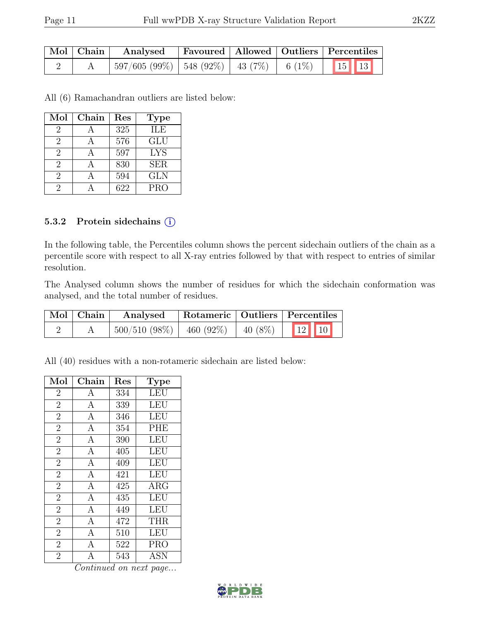| Mol   Chain | ' Analysed                                                    |  | Favoured   Allowed   Outliers   Percentiles |
|-------------|---------------------------------------------------------------|--|---------------------------------------------|
|             | $\mid$ 597/605 (99%)   548 (92%)   43 (7%)   6 (1%)   15   13 |  |                                             |

All (6) Ramachandran outliers are listed below:

| Mol            | Chain | Res | <b>Type</b> |
|----------------|-------|-----|-------------|
| $\overline{2}$ |       | 325 | <b>ILE</b>  |
| 2              |       | 576 | GLU         |
| $\overline{2}$ |       | 597 | <b>LYS</b>  |
| 2              |       | 830 | <b>SER</b>  |
| $\overline{2}$ |       | 594 | <b>GLN</b>  |
| 2              |       | 622 | <b>PRO</b>  |

#### 5.3.2 Protein sidechains (i)

In the following table, the Percentiles column shows the percent sidechain outliers of the chain as a percentile score with respect to all X-ray entries followed by that with respect to entries of similar resolution.

The Analysed column shows the number of residues for which the sidechain conformation was analysed, and the total number of residues.

| $\mid$ Mol $\mid$ Chain $\mid$ | Analysed |  | Rotameric   Outliers   Percentiles |
|--------------------------------|----------|--|------------------------------------|
|                                |          |  |                                    |

All (40) residues with a non-rotameric sidechain are listed below:

| Mol            | Chain              | Res | <b>Type</b> |
|----------------|--------------------|-----|-------------|
| $\overline{2}$ | А                  | 334 | <b>LEU</b>  |
| $\overline{2}$ | $\mathbf{A}$       | 339 | LEU         |
| $\overline{2}$ | $\mathbf{A}$       | 346 | <b>LEU</b>  |
| $\overline{2}$ | $\mathbf{A}$       | 354 | <b>PHE</b>  |
| $\overline{2}$ | $\mathbf{A}$       | 390 | LEU         |
| $\overline{2}$ | $\overline{A}$     | 405 | <b>LEU</b>  |
| $\overline{2}$ | $\mathbf{A}$       | 409 | LEU         |
| $\overline{2}$ | $\overline{A}$     | 421 | <b>LEU</b>  |
| $\overline{2}$ | $\overline{A}$     | 425 | $\rm{ARG}$  |
| $\overline{2}$ | $\mathbf{A}$       | 435 | LEU         |
| $\overline{2}$ | $\overline{A}$     | 449 | <b>LEU</b>  |
| $\overline{2}$ | $\mathbf{A}$       | 472 | <b>THR</b>  |
| $\overline{2}$ | $\overline{\rm A}$ | 510 | LEU         |
| $\overline{2}$ | $\mathbf{A}$       | 522 | <b>PRO</b>  |
| $\overline{2}$ | $\overline{A}$     | 543 | <b>ASN</b>  |

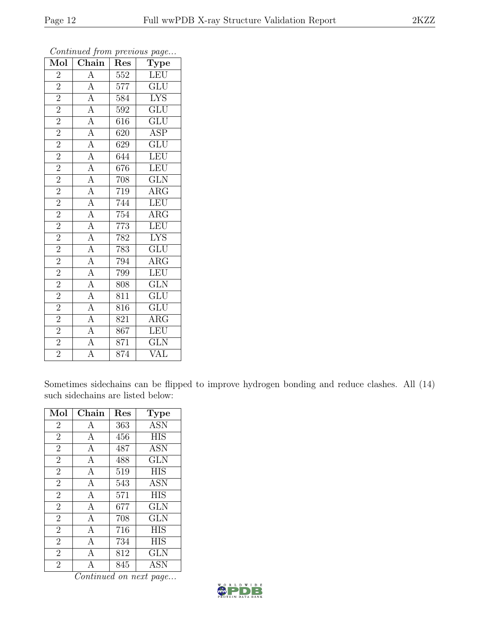| Mol            | Chain                                                                                                                                                                                                                                                                             | Res              | $\cdot$<br>Type           |
|----------------|-----------------------------------------------------------------------------------------------------------------------------------------------------------------------------------------------------------------------------------------------------------------------------------|------------------|---------------------------|
| $\overline{2}$ |                                                                                                                                                                                                                                                                                   | $\overline{552}$ | LEU                       |
| $\overline{2}$ | $\frac{\overline{A}}{\overline{A}}$                                                                                                                                                                                                                                               | 577              | $\overline{\text{GLU}}$   |
| $\overline{2}$ |                                                                                                                                                                                                                                                                                   | 584              | $\overline{\text{LYS}}$   |
| $\overline{2}$ | $\frac{\overline{A}}{\overline{A}} \frac{\overline{A}}{\overline{A}} \frac{\overline{A}}{\overline{A}} \frac{\overline{A}}{\overline{A}} \frac{\overline{A}}{\overline{A}} \frac{\overline{A}}{\overline{A}} \frac{\overline{A}}{\overline{A}} \frac{\overline{A}}{\overline{A}}$ | 592              | $\overline{\text{GLU}}$   |
| $\overline{2}$ |                                                                                                                                                                                                                                                                                   | 616              | $\overline{\mathrm{GLU}}$ |
| $\overline{2}$ |                                                                                                                                                                                                                                                                                   | 620              | <b>ASP</b>                |
| $\overline{2}$ |                                                                                                                                                                                                                                                                                   | 629              | $\overline{\text{GLU}}$   |
| $\overline{2}$ |                                                                                                                                                                                                                                                                                   | 644              | LEU                       |
| $\overline{2}$ |                                                                                                                                                                                                                                                                                   | 676              | LEU                       |
| $\overline{2}$ |                                                                                                                                                                                                                                                                                   | 708              | $\overline{\text{GLN}}$   |
| $\overline{2}$ |                                                                                                                                                                                                                                                                                   | 719              | $\overline{\rm{ARG}}$     |
| $\overline{2}$ |                                                                                                                                                                                                                                                                                   | 744              | LEU                       |
| $\overline{2}$ |                                                                                                                                                                                                                                                                                   | 754              | $\rm{ARG}$                |
| $\overline{2}$ |                                                                                                                                                                                                                                                                                   | 773              | LEU                       |
| $\overline{2}$ |                                                                                                                                                                                                                                                                                   | 782              | <b>LYS</b>                |
| $\overline{2}$ |                                                                                                                                                                                                                                                                                   | 783              | $\overline{\text{GLU}}$   |
| $\overline{2}$ |                                                                                                                                                                                                                                                                                   | 794              | $\overline{\text{ARG}}$   |
| $\overline{2}$ |                                                                                                                                                                                                                                                                                   | 799              | LEU                       |
| $\overline{2}$ |                                                                                                                                                                                                                                                                                   | 808              | $\overline{\text{GLN}}$   |
| $\overline{2}$ | $\frac{\overline{A}}{\overline{A}}$ $\frac{\overline{A}}{\overline{A}}$ $\frac{\overline{A}}{\overline{A}}$                                                                                                                                                                       | 811              | $\overline{\mathrm{GLU}}$ |
| $\overline{2}$ |                                                                                                                                                                                                                                                                                   | 816              | $\overline{\text{GLU}}$   |
| $\overline{2}$ |                                                                                                                                                                                                                                                                                   | 821              | $\overline{\rm{ARG}}$     |
| $\overline{2}$ |                                                                                                                                                                                                                                                                                   | 867              | LEU                       |
| $\overline{2}$ |                                                                                                                                                                                                                                                                                   | 871              | $\overline{\text{GLN}}$   |
| $\overline{2}$ |                                                                                                                                                                                                                                                                                   | 874              | VAL                       |

Continued from previous page...

Sometimes sidechains can be flipped to improve hydrogen bonding and reduce clashes. All (14) such sidechains are listed below:

| Mol            | Chain        | $\operatorname{Res}% \left( \mathcal{N}\right) \equiv\operatorname{Res}(\mathcal{N}_{0},\mathcal{N}_{0})$ | <b>Type</b> |
|----------------|--------------|-----------------------------------------------------------------------------------------------------------|-------------|
| $\overline{2}$ | A            | 363                                                                                                       | <b>ASN</b>  |
| $\overline{2}$ | А            | 456                                                                                                       | <b>HIS</b>  |
| $\overline{2}$ | A            | 487                                                                                                       | <b>ASN</b>  |
| $\overline{2}$ | $\mathbf{A}$ | 488                                                                                                       | GLN         |
| $\overline{2}$ | А            | 519                                                                                                       | <b>HIS</b>  |
| $\overline{2}$ | A            | 543                                                                                                       | <b>ASN</b>  |
| $\overline{2}$ | $\mathbf{A}$ | 571                                                                                                       | <b>HIS</b>  |
| $\overline{2}$ | A            | 677                                                                                                       | GLN         |
| $\overline{2}$ | A            | 708                                                                                                       | <b>GLN</b>  |
| $\overline{2}$ | $\mathbf{A}$ | 716                                                                                                       | <b>HIS</b>  |
| $\overline{2}$ | А            | 734                                                                                                       | <b>HIS</b>  |
| $\overline{2}$ | A            | 812                                                                                                       | <b>GLN</b>  |
| $\overline{2}$ | А            | 845                                                                                                       | ASN         |

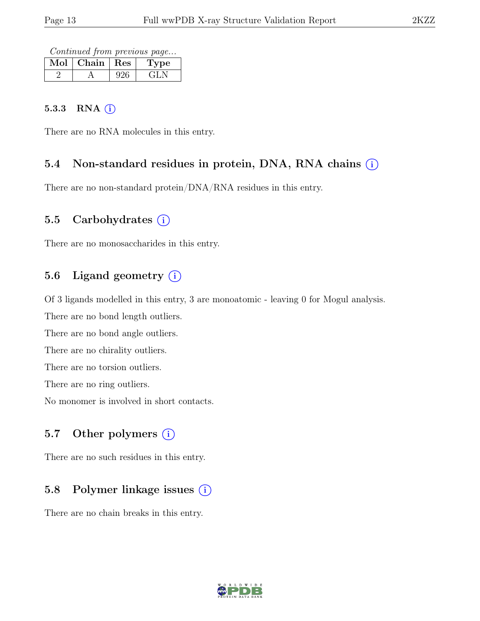Continued from previous page...

| Mol | Chain   Res | <b>Type</b> |
|-----|-------------|-------------|
|     |             |             |

#### 5.3.3 RNA  $(i)$

There are no RNA molecules in this entry.

#### 5.4 Non-standard residues in protein, DNA, RNA chains (i)

There are no non-standard protein/DNA/RNA residues in this entry.

#### 5.5 Carbohydrates  $(i)$

There are no monosaccharides in this entry.

### 5.6 Ligand geometry  $(i)$

Of 3 ligands modelled in this entry, 3 are monoatomic - leaving 0 for Mogul analysis.

There are no bond length outliers.

There are no bond angle outliers.

There are no chirality outliers.

There are no torsion outliers.

There are no ring outliers.

No monomer is involved in short contacts.

### 5.7 Other polymers  $(i)$

There are no such residues in this entry.

## 5.8 Polymer linkage issues  $(i)$

There are no chain breaks in this entry.

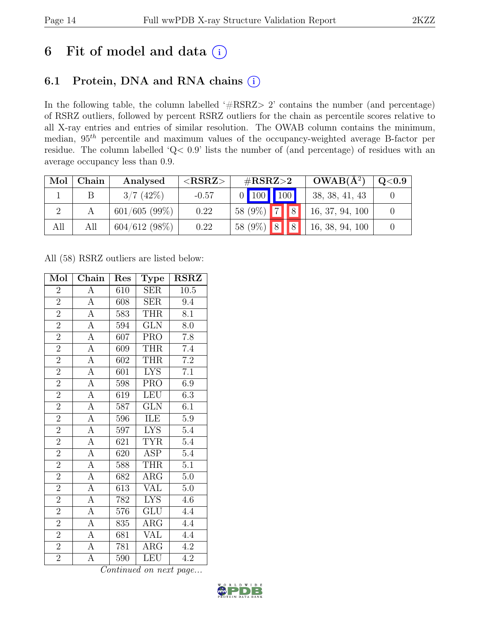## 6 Fit of model and data  $(i)$

## 6.1 Protein, DNA and RNA chains (i)

In the following table, the column labelled ' $\#\text{RSRZ}>2$ ' contains the number (and percentage) of RSRZ outliers, followed by percent RSRZ outliers for the chain as percentile scores relative to all X-ray entries and entries of similar resolution. The OWAB column contains the minimum, median,  $95<sup>th</sup>$  percentile and maximum values of the occupancy-weighted average B-factor per residue. The column labelled 'Q< 0.9' lists the number of (and percentage) of residues with an average occupancy less than 0.9.

| Mol | Chain | Analysed     | ${ <\hspace{-1.5pt}{\mathrm{RSRZ}} \hspace{-1.5pt}>}$ | # $RSRZ>2$                              | $OWAB(A^2)$     | $\rm Q\textcolor{black}{<}0.9$ |
|-----|-------|--------------|-------------------------------------------------------|-----------------------------------------|-----------------|--------------------------------|
|     |       | 3/7(42%)     | $-0.57$                                               | $0$ 100 100                             | 38, 38, 41, 43  |                                |
|     |       | 601/605(99%) | 0.22                                                  | $\overline{7}$<br>$\sqrt{a}$<br>58 (9%) | 16, 37, 94, 100 |                                |
| All | All   | 604/612(98%) | 0.22                                                  | $8$ $\overline{8}$<br>58 $(9\%)$        | 16, 38, 94, 100 |                                |

All (58) RSRZ outliers are listed below:

| Mol            | Chain                 | Res | <b>Type</b>             | <b>RSRZ</b>      |
|----------------|-----------------------|-----|-------------------------|------------------|
| $\overline{2}$ | A                     | 610 | <b>SER</b>              | 10.5             |
| $\overline{2}$ | $\boldsymbol{\rm{A}}$ | 608 | <b>SER</b>              | 9.4              |
| $\overline{2}$ | $\overline{A}$        | 583 | <b>THR</b>              | 8.1              |
| $\overline{2}$ | $\overline{A}$        | 594 | <b>GLN</b>              | 8.0              |
| $\overline{2}$ | $\overline{A}$        | 607 | <b>PRO</b>              | $\overline{7.8}$ |
| $\overline{2}$ | $\overline{A}$        | 609 | <b>THR</b>              | 7.4              |
| $\overline{2}$ | $\overline{A}$        | 602 | <b>THR</b>              | $\overline{7.2}$ |
| $\overline{2}$ | $\overline{A}$        | 601 | <b>LYS</b>              | $\overline{7.1}$ |
| $\overline{2}$ | $\overline{A}$        | 598 | <b>PRO</b>              | 6.9              |
| $\overline{2}$ | $\overline{A}$        | 619 | LEU                     | 6.3              |
| $\overline{2}$ | $\overline{A}$        | 587 | <b>GLN</b>              | 6.1              |
| $\overline{2}$ | $\overline{A}$        | 596 | ILE                     | $\overline{5.9}$ |
| $\overline{2}$ | $\overline{A}$        | 597 | <b>LYS</b>              | 5.4              |
| $\overline{2}$ | $\overline{A}$        | 621 | <b>TYR</b>              | $5.4\,$          |
| $\overline{2}$ | $\overline{A}$        | 620 | <b>ASP</b>              | $\overline{5.4}$ |
| $\overline{2}$ | $\overline{A}$        | 588 | <b>THR</b>              | $\overline{5.1}$ |
| $\overline{2}$ | $\overline{A}$        | 682 | $\overline{\text{ARG}}$ | $\overline{5.0}$ |
| $\frac{2}{2}$  | $\overline{A}$        | 613 | <b>VAL</b>              | $5.0\,$          |
|                | $\overline{A}$        | 782 | <b>LYS</b>              | 4.6              |
| $\overline{2}$ | $\overline{A}$        | 576 | GLU                     | 4.4              |
| $\overline{2}$ | $\overline{A}$        | 835 | $\rm{ARG}$              | 4.4              |
| $\overline{2}$ | $\overline{A}$        | 681 | $\overline{\text{VAL}}$ | 4.4              |
| $\overline{2}$ | $\overline{A}$        | 781 | ARG                     | 4.2              |
| $\overline{2}$ | $\overline{\rm A}$    | 590 | <b>LEU</b>              | 4.2              |

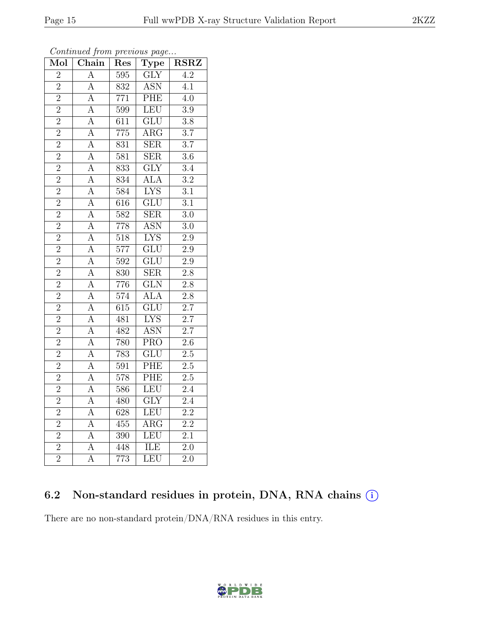| Mol            | Chain              | Res              | <b>Type</b>               | <b>RSRZ</b>      |
|----------------|--------------------|------------------|---------------------------|------------------|
| $\overline{2}$ | $\overline{A}$     | $\overline{595}$ | <b>GLY</b>                | $\overline{4.2}$ |
| $\overline{2}$ | $\overline{A}$     | 832              | <b>ASN</b>                | 4.1              |
| $\overline{2}$ | $\overline{A}$     | $\overline{771}$ | PHE                       | $\overline{4.0}$ |
| $\overline{2}$ | $\overline{A}$     | 599              | <b>LEU</b>                | $\overline{3.9}$ |
| $\overline{2}$ | $\overline{A}$     | $\overline{611}$ | $\overline{\mathrm{GLU}}$ | $\overline{3.8}$ |
| $\overline{2}$ | $\overline{A}$     | 775              | ARG                       | $\overline{3.7}$ |
| $\overline{2}$ | $\overline{\rm A}$ | 831              | <b>SER</b>                | $\overline{3.7}$ |
| $\overline{2}$ | $\overline{\rm A}$ | 581              | $\overline{\text{SER}}$   | $\overline{3.6}$ |
| $\overline{2}$ | A                  | $\overline{833}$ | $\overline{\text{GLY}}$   | $\overline{3.4}$ |
| $\overline{2}$ | $\overline{A}$     | 834              | $\overline{ALA}$          | $\overline{3.2}$ |
| $\overline{2}$ | $\overline{A}$     | 584              | <b>LYS</b>                | $\overline{3.1}$ |
| $\overline{2}$ | $\overline{\rm A}$ | $\overline{616}$ | $\overline{\text{GLU}}$   | $\overline{3.1}$ |
| $\overline{2}$ | $\overline{A}$     | $\overline{582}$ | <b>SER</b>                | $\overline{3.0}$ |
| $\overline{2}$ | $\overline{\rm A}$ | 778              | <b>ASN</b>                | $\overline{3.0}$ |
| $\overline{2}$ | $\overline{\rm A}$ | $\overline{518}$ | <b>LYS</b>                | $\overline{2.9}$ |
| $\overline{2}$ | $\overline{A}$     | $\overline{577}$ | $\overline{\text{GLU}}$   | $2.9\,$          |
| $\overline{2}$ | $\overline{A}$     | $\overline{592}$ | $\overline{\text{GLU}}$   | $\overline{2.9}$ |
| $\overline{2}$ | $\overline{A}$     | 830              | <b>SER</b>                | $\overline{2.8}$ |
| $\overline{2}$ | $\overline{A}$     | 776              | $\overline{\text{GLN}}$   | $\overline{2.8}$ |
| $\overline{2}$ | $\overline{A}$     | 574              | <b>ALA</b>                | $\overline{2.8}$ |
| $\overline{2}$ | $\overline{A}$     | $\overline{6}15$ | $\overline{\mathrm{GLU}}$ | $2.7\,$          |
| $\overline{2}$ | $\overline{\rm A}$ | 481              | <b>LYS</b>                | $\overline{2.7}$ |
| $\overline{2}$ | $\overline{\rm A}$ | 482              | <b>ASN</b>                | $\overline{2.7}$ |
| $\overline{2}$ | $\overline{\rm A}$ | 780              | $\overline{\text{PRO}}$   | $\overline{2.6}$ |
| $\overline{2}$ | $\overline{A}$     | 783              | $\overline{\text{GLU}}$   | 2.5              |
| $\overline{2}$ | $\overline{A}$     | 591              | PHE                       | 2.5              |
| $\overline{2}$ | $\overline{A}$     | $\overline{578}$ | PHE                       | $\overline{2.5}$ |
| $\overline{2}$ | $\overline{\rm A}$ | 586              | <b>LEU</b>                | $\overline{2.4}$ |
| $\overline{2}$ | $\overline{\rm A}$ | 480              | $\overline{\text{GLY}}$   | $\overline{2.4}$ |
| $\overline{2}$ | $\overline{A}$     | 628              | <b>LEU</b>                | $\overline{2.2}$ |
| $\overline{2}$ | $\overline{\rm A}$ | 455              | $\overline{\rm{ARG}}$     | $2.\overline{2}$ |
| $\overline{2}$ | $\overline{A}$     | 390              | LEU                       | $\overline{2.1}$ |
| $\overline{2}$ | $\overline{A}$     | 448              | <b>ILE</b>                | $\overline{2.0}$ |
| $\overline{2}$ | $\overline{\rm A}$ | $\overline{773}$ | LEU                       | $\overline{2.0}$ |

Continued from previous page...

## 6.2 Non-standard residues in protein, DNA, RNA chains (i)

There are no non-standard protein/DNA/RNA residues in this entry.